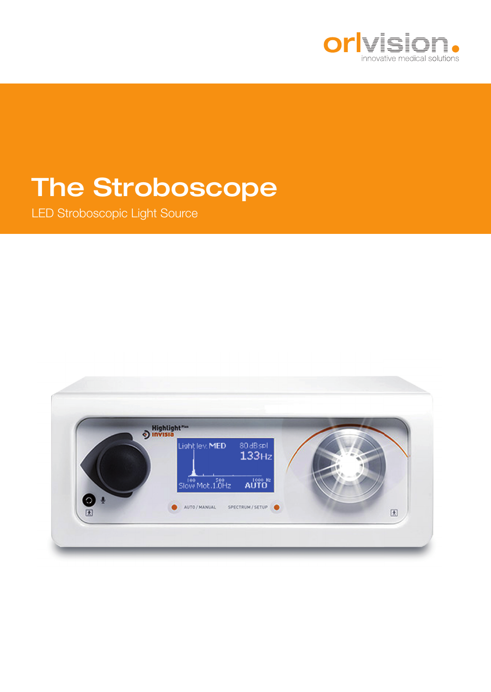

# The Stroboscope

LED Stroboscopic Light Source